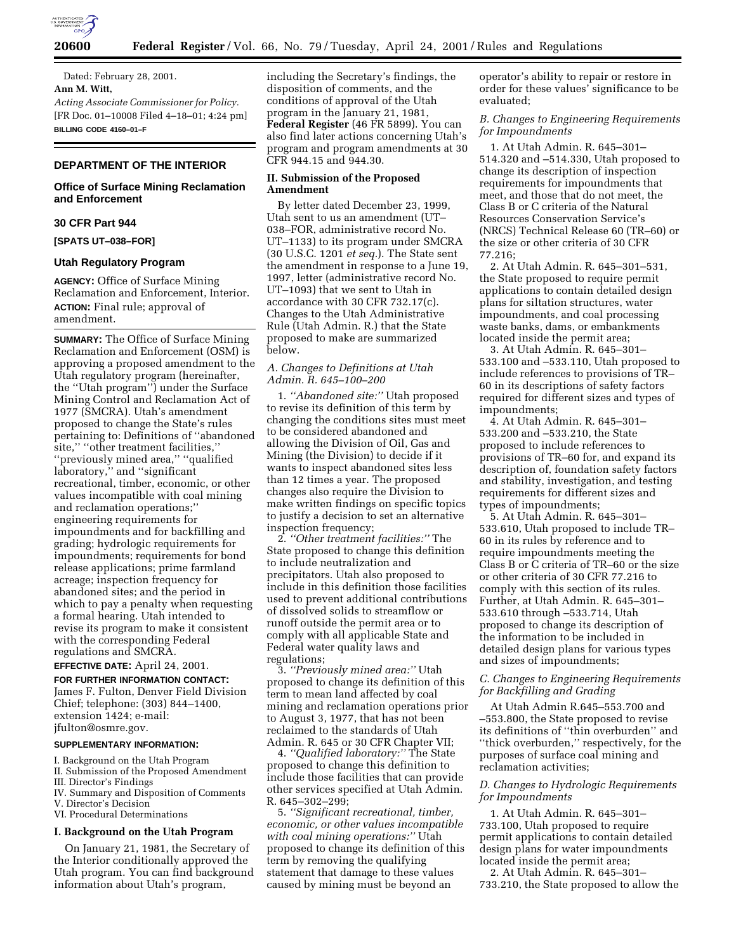

Dated: February 28, 2001. **Ann M. Witt,** *Acting Associate Commissioner for Policy.* [FR Doc. 01–10008 Filed 4–18–01; 4:24 pm] **BILLING CODE 4160–01–F**

# **DEPARTMENT OF THE INTERIOR**

# **Office of Surface Mining Reclamation and Enforcement**

## **30 CFR Part 944**

**[SPATS UT–038–FOR]**

### **Utah Regulatory Program**

**AGENCY:** Office of Surface Mining Reclamation and Enforcement, Interior. **ACTION:** Final rule; approval of amendment.

**SUMMARY:** The Office of Surface Mining Reclamation and Enforcement (OSM) is approving a proposed amendment to the Utah regulatory program (hereinafter, the ''Utah program'') under the Surface Mining Control and Reclamation Act of 1977 (SMCRA). Utah's amendment proposed to change the State's rules pertaining to: Definitions of ''abandoned site," "other treatment facilities," ''previously mined area,'' ''qualified laboratory,'' and ''significant recreational, timber, economic, or other values incompatible with coal mining and reclamation operations;'' engineering requirements for impoundments and for backfilling and grading; hydrologic requirements for impoundments; requirements for bond release applications; prime farmland acreage; inspection frequency for abandoned sites; and the period in which to pay a penalty when requesting a formal hearing. Utah intended to revise its program to make it consistent with the corresponding Federal regulations and SMCRA.

# **EFFECTIVE DATE:** April 24, 2001.

**FOR FURTHER INFORMATION CONTACT:** James F. Fulton, Denver Field Division Chief; telephone: (303) 844–1400, extension 1424; e-mail: jfulton@osmre.gov.

#### **SUPPLEMENTARY INFORMATION:**

- I. Background on the Utah Program
- II. Submission of the Proposed Amendment
- III. Director's Findings
- IV. Summary and Disposition of Comments
- V. Director's Decision
- VI. Procedural Determinations

# **I. Background on the Utah Program**

On January 21, 1981, the Secretary of the Interior conditionally approved the Utah program. You can find background information about Utah's program,

including the Secretary's findings, the disposition of comments, and the conditions of approval of the Utah program in the January 21, 1981, **Federal Register** (46 FR 5899). You can also find later actions concerning Utah's program and program amendments at 30 CFR 944.15 and 944.30.

# **II. Submission of the Proposed Amendment**

By letter dated December 23, 1999, Utah sent to us an amendment (UT– 038–FOR, administrative record No. UT–1133) to its program under SMCRA (30 U.S.C. 1201 *et seq.*). The State sent the amendment in response to a June 19, 1997, letter (administrative record No. UT–1093) that we sent to Utah in accordance with 30 CFR 732.17(c). Changes to the Utah Administrative Rule (Utah Admin. R.) that the State proposed to make are summarized below.

### *A. Changes to Definitions at Utah Admin. R. 645–100–200*

1. *''Abandoned site:''* Utah proposed to revise its definition of this term by changing the conditions sites must meet to be considered abandoned and allowing the Division of Oil, Gas and Mining (the Division) to decide if it wants to inspect abandoned sites less than 12 times a year. The proposed changes also require the Division to make written findings on specific topics to justify a decision to set an alternative inspection frequency;

2. *''Other treatment facilities:''* The State proposed to change this definition to include neutralization and precipitators. Utah also proposed to include in this definition those facilities used to prevent additional contributions of dissolved solids to streamflow or runoff outside the permit area or to comply with all applicable State and Federal water quality laws and regulations;

3. *''Previously mined area:''* Utah proposed to change its definition of this term to mean land affected by coal mining and reclamation operations prior to August 3, 1977, that has not been reclaimed to the standards of Utah Admin. R. 645 or 30 CFR Chapter VII;

4. *''Qualified laboratory:''* The State proposed to change this definition to include those facilities that can provide other services specified at Utah Admin. R. 645–302–299;

5. *''Significant recreational, timber, economic, or other values incompatible with coal mining operations:''* Utah proposed to change its definition of this term by removing the qualifying statement that damage to these values caused by mining must be beyond an

operator's ability to repair or restore in order for these values' significance to be evaluated;

*B. Changes to Engineering Requirements for Impoundments*

1. At Utah Admin. R. 645–301– 514.320 and –514.330, Utah proposed to change its description of inspection requirements for impoundments that meet, and those that do not meet, the Class B or C criteria of the Natural Resources Conservation Service's (NRCS) Technical Release 60 (TR–60) or the size or other criteria of 30 CFR 77.216;

2. At Utah Admin. R. 645–301–531, the State proposed to require permit applications to contain detailed design plans for siltation structures, water impoundments, and coal processing waste banks, dams, or embankments located inside the permit area;

3. At Utah Admin. R. 645–301– 533.100 and –533.110, Utah proposed to include references to provisions of TR– 60 in its descriptions of safety factors required for different sizes and types of impoundments;

4. At Utah Admin. R. 645–301– 533.200 and –533.210, the State proposed to include references to provisions of TR–60 for, and expand its description of, foundation safety factors and stability, investigation, and testing requirements for different sizes and types of impoundments;

5. At Utah Admin. R. 645–301– 533.610, Utah proposed to include TR– 60 in its rules by reference and to require impoundments meeting the Class B or C criteria of TR–60 or the size or other criteria of 30 CFR 77.216 to comply with this section of its rules. Further, at Utah Admin. R. 645–301– 533.610 through –533.714, Utah proposed to change its description of the information to be included in detailed design plans for various types and sizes of impoundments;

*C. Changes to Engineering Requirements for Backfilling and Grading*

At Utah Admin R.645–553.700 and –553.800, the State proposed to revise its definitions of ''thin overburden'' and ''thick overburden,'' respectively, for the purposes of surface coal mining and reclamation activities;

## *D. Changes to Hydrologic Requirements for Impoundments*

1. At Utah Admin. R. 645–301– 733.100, Utah proposed to require permit applications to contain detailed design plans for water impoundments located inside the permit area;

2. At Utah Admin. R. 645–301– 733.210, the State proposed to allow the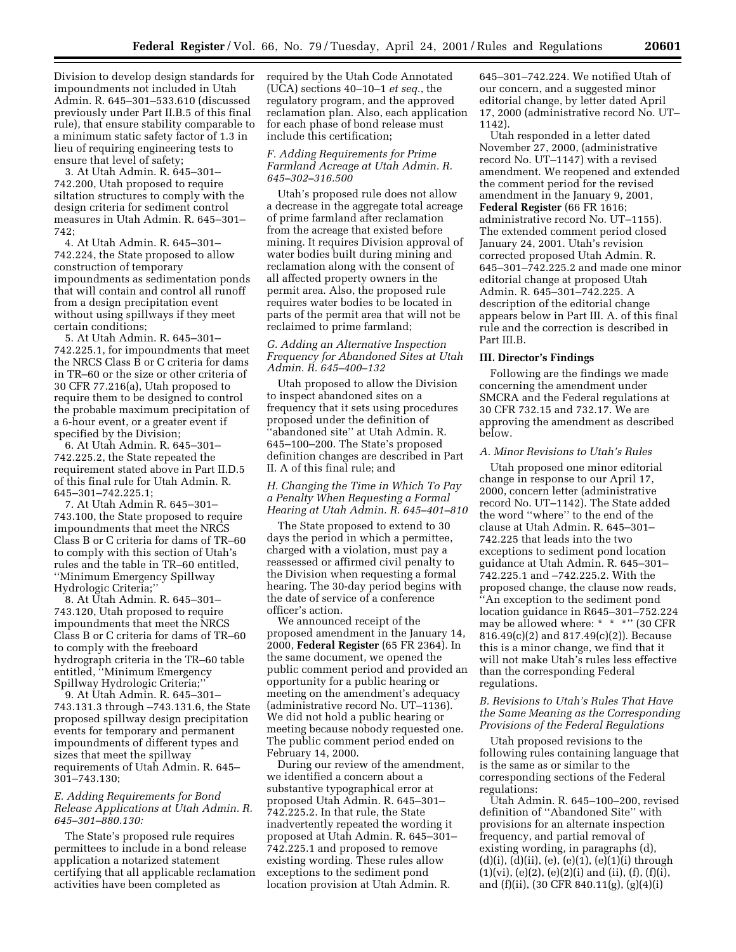Division to develop design standards for impoundments not included in Utah Admin. R. 645–301–533.610 (discussed previously under Part II.B.5 of this final rule), that ensure stability comparable to a minimum static safety factor of 1.3 in lieu of requiring engineering tests to ensure that level of safety;

3. At Utah Admin. R. 645–301– 742.200, Utah proposed to require siltation structures to comply with the design criteria for sediment control measures in Utah Admin. R. 645–301– 742;

4. At Utah Admin. R. 645–301– 742.224, the State proposed to allow construction of temporary impoundments as sedimentation ponds that will contain and control all runoff from a design precipitation event without using spillways if they meet certain conditions;

5. At Utah Admin. R. 645–301– 742.225.1, for impoundments that meet the NRCS Class B or C criteria for dams in TR–60 or the size or other criteria of 30 CFR 77.216(a), Utah proposed to require them to be designed to control the probable maximum precipitation of a 6-hour event, or a greater event if specified by the Division;

6. At Utah Admin. R. 645–301– 742.225.2, the State repeated the requirement stated above in Part II.D.5 of this final rule for Utah Admin. R. 645–301–742.225.1;

7. At Utah Admin R. 645–301– 743.100, the State proposed to require impoundments that meet the NRCS Class B or C criteria for dams of TR–60 to comply with this section of Utah's rules and the table in TR–60 entitled, ''Minimum Emergency Spillway Hydrologic Criteria;''

8. At Utah Admin. R. 645–301– 743.120, Utah proposed to require impoundments that meet the NRCS Class B or C criteria for dams of TR–60 to comply with the freeboard hydrograph criteria in the TR–60 table entitled, ''Minimum Emergency Spillway Hydrologic Criteria;''

9. At Utah Admin. R. 645–301– 743.131.3 through –743.131.6, the State proposed spillway design precipitation events for temporary and permanent impoundments of different types and sizes that meet the spillway requirements of Utah Admin. R. 645– 301–743.130;

### *E. Adding Requirements for Bond Release Applications at Utah Admin. R. 645–301–880.130:*

The State's proposed rule requires permittees to include in a bond release application a notarized statement certifying that all applicable reclamation activities have been completed as

required by the Utah Code Annotated (UCA) sections 40–10–1 *et seq.*, the regulatory program, and the approved reclamation plan. Also, each application for each phase of bond release must include this certification;

### *F. Adding Requirements for Prime Farmland Acreage at Utah Admin. R. 645–302–316.500*

Utah's proposed rule does not allow a decrease in the aggregate total acreage of prime farmland after reclamation from the acreage that existed before mining. It requires Division approval of water bodies built during mining and reclamation along with the consent of all affected property owners in the permit area. Also, the proposed rule requires water bodies to be located in parts of the permit area that will not be reclaimed to prime farmland;

### *G. Adding an Alternative Inspection Frequency for Abandoned Sites at Utah Admin. R. 645–400–132*

Utah proposed to allow the Division to inspect abandoned sites on a frequency that it sets using procedures proposed under the definition of 'abandoned site" at Utah Admin. R. 645–100–200. The State's proposed definition changes are described in Part II. A of this final rule; and

# *H. Changing the Time in Which To Pay a Penalty When Requesting a Formal Hearing at Utah Admin. R. 645–401–810*

The State proposed to extend to 30 days the period in which a permittee, charged with a violation, must pay a reassessed or affirmed civil penalty to the Division when requesting a formal hearing. The 30-day period begins with the date of service of a conference officer's action.

We announced receipt of the proposed amendment in the January 14, 2000, **Federal Register** (65 FR 2364). In the same document, we opened the public comment period and provided an opportunity for a public hearing or meeting on the amendment's adequacy (administrative record No. UT–1136). We did not hold a public hearing or meeting because nobody requested one. The public comment period ended on February 14, 2000.

During our review of the amendment, we identified a concern about a substantive typographical error at proposed Utah Admin. R. 645–301– 742.225.2. In that rule, the State inadvertently repeated the wording it proposed at Utah Admin. R. 645–301– 742.225.1 and proposed to remove existing wording. These rules allow exceptions to the sediment pond location provision at Utah Admin. R.

645–301–742.224. We notified Utah of our concern, and a suggested minor editorial change, by letter dated April 17, 2000 (administrative record No. UT– 1142).

Utah responded in a letter dated November 27, 2000, (administrative record No. UT–1147) with a revised amendment. We reopened and extended the comment period for the revised amendment in the January 9, 2001, **Federal Register** (66 FR 1616; administrative record No. UT–1155). The extended comment period closed January 24, 2001. Utah's revision corrected proposed Utah Admin. R. 645–301–742.225.2 and made one minor editorial change at proposed Utah Admin. R. 645–301–742.225. A description of the editorial change appears below in Part III. A. of this final rule and the correction is described in Part III.B.

### **III. Director's Findings**

Following are the findings we made concerning the amendment under SMCRA and the Federal regulations at 30 CFR 732.15 and 732.17. We are approving the amendment as described below.

### *A. Minor Revisions to Utah's Rules*

Utah proposed one minor editorial change in response to our April 17, 2000, concern letter (administrative record No. UT–1142). The State added the word ''where'' to the end of the clause at Utah Admin. R. 645–301– 742.225 that leads into the two exceptions to sediment pond location guidance at Utah Admin. R. 645–301– 742.225.1 and –742.225.2. With the proposed change, the clause now reads, ''An exception to the sediment pond location guidance in R645–301–752.224 may be allowed where: \* \* \*" (30 CFR 816.49(c)(2) and 817.49(c)(2)). Because this is a minor change, we find that it will not make Utah's rules less effective than the corresponding Federal regulations.

# *B. Revisions to Utah's Rules That Have the Same Meaning as the Corresponding Provisions of the Federal Regulations*

Utah proposed revisions to the following rules containing language that is the same as or similar to the corresponding sections of the Federal regulations:

Utah Admin. R. 645–100–200, revised definition of ''Abandoned Site'' with provisions for an alternate inspection frequency, and partial removal of existing wording, in paragraphs (d),  $(d)(i), (d)(ii), (e), (e)(1), (e)(1)(i)$  through  $(1)(vi)$ ,  $(e)(2)$ ,  $(e)(2)(i)$  and  $(ii)$ ,  $(f)$ ,  $(f)(i)$ , and (f)(ii), (30 CFR 840.11(g), (g)(4)(i)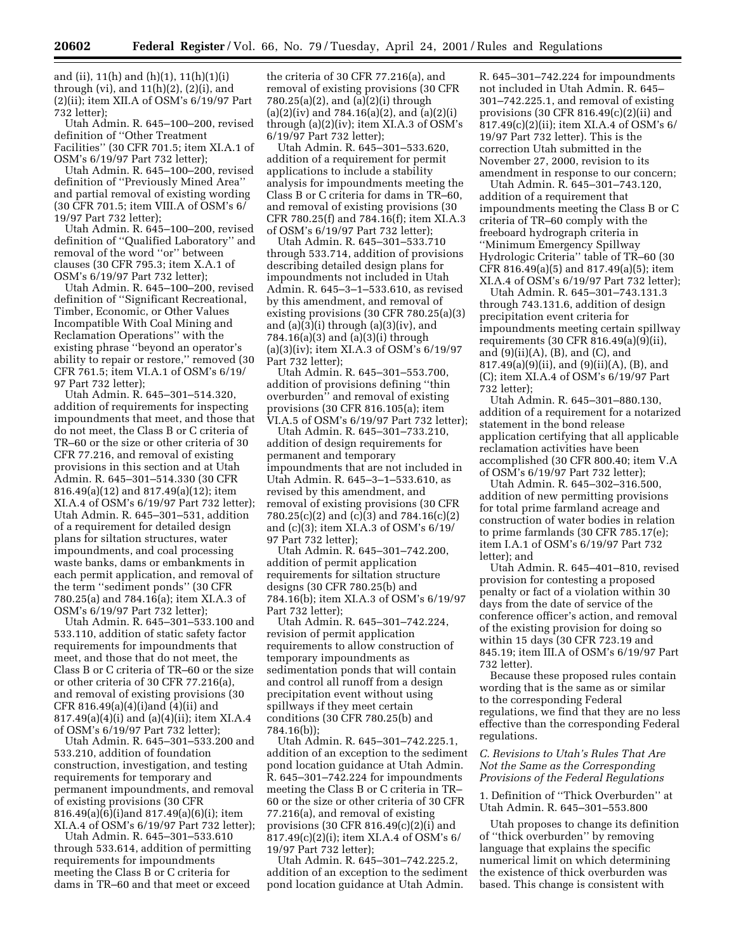and (ii), 11(h) and (h)(1), 11(h)(1)(i) through (vi), and  $11(h)(2)$ ,  $(2)(i)$ , and (2)(ii); item XII.A of OSM's 6/19/97 Part 732 letter);

Utah Admin. R. 645–100–200, revised definition of ''Other Treatment Facilities'' (30 CFR 701.5; item XI.A.1 of OSM's 6/19/97 Part 732 letter);

Utah Admin. R. 645–100–200, revised definition of ''Previously Mined Area'' and partial removal of existing wording (30 CFR 701.5; item VIII.A of OSM's 6/ 19/97 Part 732 letter);

Utah Admin. R. 645–100–200, revised definition of ''Qualified Laboratory'' and removal of the word ''or'' between clauses (30 CFR 795.3; item X.A.1 of OSM's 6/19/97 Part 732 letter);

Utah Admin. R. 645–100–200, revised definition of ''Significant Recreational, Timber, Economic, or Other Values Incompatible With Coal Mining and Reclamation Operations'' with the existing phrase ''beyond an operator's ability to repair or restore,'' removed (30 CFR 761.5; item VI.A.1 of OSM's 6/19/ 97 Part 732 letter);

Utah Admin. R. 645–301–514.320, addition of requirements for inspecting impoundments that meet, and those that do not meet, the Class B or C criteria of TR–60 or the size or other criteria of 30 CFR 77.216, and removal of existing provisions in this section and at Utah Admin. R. 645–301–514.330 (30 CFR 816.49(a)(12) and 817.49(a)(12); item XI.A.4 of OSM's 6/19/97 Part 732 letter); Utah Admin. R. 645–301–531, addition of a requirement for detailed design plans for siltation structures, water impoundments, and coal processing waste banks, dams or embankments in each permit application, and removal of the term ''sediment ponds'' (30 CFR 780.25(a) and 784.16(a); item XI.A.3 of OSM's 6/19/97 Part 732 letter);

Utah Admin. R. 645–301–533.100 and 533.110, addition of static safety factor requirements for impoundments that meet, and those that do not meet, the Class B or C criteria of TR–60 or the size or other criteria of 30 CFR 77.216(a), and removal of existing provisions (30 CFR 816.49(a)(4)(i)and (4)(ii) and 817.49(a)(4)(i) and (a)(4)(ii); item XI.A.4 of OSM's 6/19/97 Part 732 letter);

Utah Admin. R. 645–301–533.200 and 533.210, addition of foundation construction, investigation, and testing requirements for temporary and permanent impoundments, and removal of existing provisions (30 CFR 816.49(a)(6)(i)and 817.49(a)(6)(i); item XI.A.4 of OSM's 6/19/97 Part 732 letter);

Utah Admin. R. 645–301–533.610 through 533.614, addition of permitting requirements for impoundments meeting the Class B or C criteria for dams in TR–60 and that meet or exceed

the criteria of 30 CFR 77.216(a), and removal of existing provisions (30 CFR 780.25(a)(2), and (a)(2)(i) through (a)(2)(iv) and 784.16(a)(2), and (a)(2)(i) through (a)(2)(iv); item XI.A.3 of OSM's 6/19/97 Part 732 letter);

Utah Admin. R. 645–301–533.620, addition of a requirement for permit applications to include a stability analysis for impoundments meeting the Class B or C criteria for dams in TR–60, and removal of existing provisions (30 CFR 780.25(f) and 784.16(f); item XI.A.3 of OSM's 6/19/97 Part 732 letter);

Utah Admin. R. 645–301–533.710 through 533.714, addition of provisions describing detailed design plans for impoundments not included in Utah Admin. R. 645–3–1–533.610, as revised by this amendment, and removal of existing provisions (30 CFR 780.25(a)(3) and (a)(3)(i) through (a)(3)(iv), and 784.16(a)(3) and (a)(3)(i) through (a)(3)(iv); item XI.A.3 of OSM's 6/19/97 Part 732 letter);

Utah Admin. R. 645–301–553.700, addition of provisions defining ''thin overburden'' and removal of existing provisions (30 CFR 816.105(a); item VI.A.5 of OSM's 6/19/97 Part 732 letter);

Utah Admin. R. 645–301–733.210, addition of design requirements for permanent and temporary impoundments that are not included in Utah Admin. R. 645–3–1–533.610, as revised by this amendment, and removal of existing provisions (30 CFR 780.25(c)(2) and (c)(3) and 784.16(c)(2) and (c)(3); item XI.A.3 of OSM's 6/19/ 97 Part 732 letter);

Utah Admin. R. 645–301–742.200, addition of permit application requirements for siltation structure designs (30 CFR 780.25(b) and 784.16(b); item XI.A.3 of OSM's 6/19/97 Part 732 letter);

Utah Admin. R. 645–301–742.224, revision of permit application requirements to allow construction of temporary impoundments as sedimentation ponds that will contain and control all runoff from a design precipitation event without using spillways if they meet certain conditions (30 CFR 780.25(b) and 784.16(b));

Utah Admin. R. 645–301–742.225.1, addition of an exception to the sediment pond location guidance at Utah Admin. R. 645–301–742.224 for impoundments meeting the Class B or C criteria in TR– 60 or the size or other criteria of 30 CFR 77.216(a), and removal of existing provisions (30 CFR 816.49 $(c)(2)(i)$  and 817.49(c)(2)(i); item XI.A.4 of OSM's 6/ 19/97 Part 732 letter);

Utah Admin. R. 645–301–742.225.2, addition of an exception to the sediment pond location guidance at Utah Admin.

R. 645–301–742.224 for impoundments not included in Utah Admin. R. 645– 301–742.225.1, and removal of existing provisions (30 CFR  $816.49(c)(2)(ii)$  and 817.49(c)(2)(ii); item XI.A.4 of OSM's 6/ 19/97 Part 732 letter). This is the correction Utah submitted in the November 27, 2000, revision to its amendment in response to our concern;

Utah Admin. R. 645–301–743.120, addition of a requirement that impoundments meeting the Class B or C criteria of TR–60 comply with the freeboard hydrograph criteria in ''Minimum Emergency Spillway Hydrologic Criteria'' table of TR–60 (30 CFR 816.49(a)(5) and 817.49(a)(5); item XI.A.4 of OSM's 6/19/97 Part 732 letter);

Utah Admin. R. 645–301–743.131.3 through 743.131.6, addition of design precipitation event criteria for impoundments meeting certain spillway requirements (30 CFR 816.49(a)(9)(ii), and  $(9)(ii)(A)$ ,  $(B)$ , and  $(C)$ , and 817.49(a)(9)(ii), and (9)(ii)(A), (B), and (C); item XI.A.4 of OSM's 6/19/97 Part 732 letter);

Utah Admin. R. 645–301–880.130, addition of a requirement for a notarized statement in the bond release application certifying that all applicable reclamation activities have been accomplished (30 CFR 800.40; item V.A of OSM's 6/19/97 Part 732 letter);

Utah Admin. R. 645–302–316.500, addition of new permitting provisions for total prime farmland acreage and construction of water bodies in relation to prime farmlands (30 CFR 785.17(e); item I.A.1 of OSM's 6/19/97 Part 732 letter); and

Utah Admin. R. 645–401–810, revised provision for contesting a proposed penalty or fact of a violation within 30 days from the date of service of the conference officer's action, and removal of the existing provision for doing so within 15 days (30 CFR 723.19 and 845.19; item III.A of OSM's 6/19/97 Part 732 letter).

Because these proposed rules contain wording that is the same as or similar to the corresponding Federal regulations, we find that they are no less effective than the corresponding Federal regulations.

# *C. Revisions to Utah's Rules That Are Not the Same as the Corresponding Provisions of the Federal Regulations*

1. Definition of ''Thick Overburden'' at Utah Admin. R. 645–301–553.800

Utah proposes to change its definition of ''thick overburden'' by removing language that explains the specific numerical limit on which determining the existence of thick overburden was based. This change is consistent with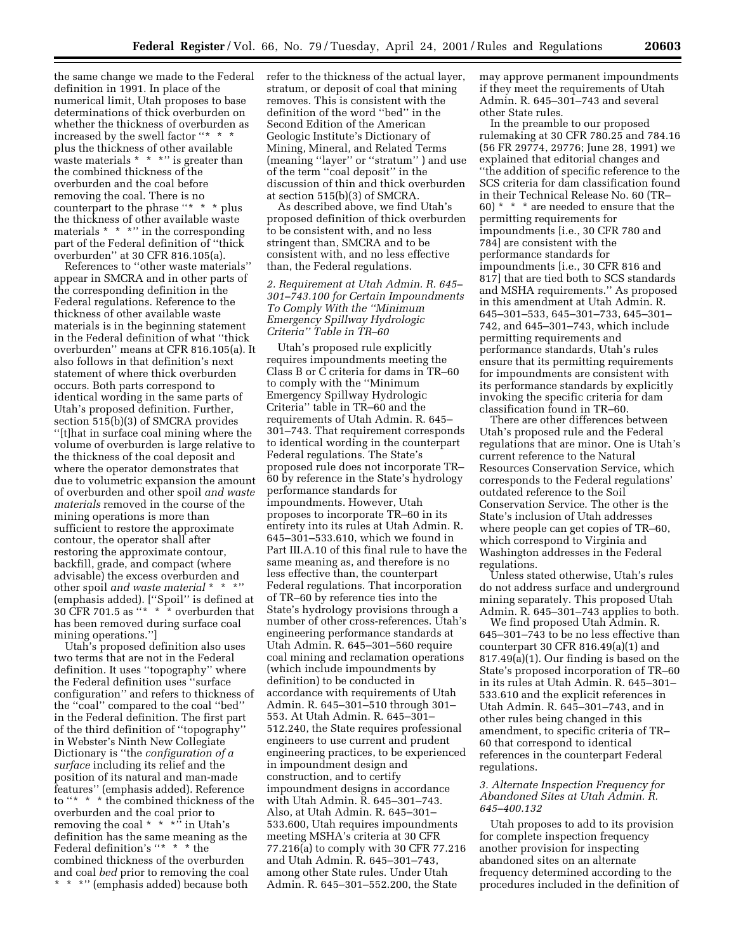the same change we made to the Federal definition in 1991. In place of the numerical limit, Utah proposes to base determinations of thick overburden on whether the thickness of overburden as increased by the swell factor "\* \* \* plus the thickness of other available waste materials \* \* \* \* '' is greater than the combined thickness of the overburden and the coal before removing the coal. There is no counterpart to the phrase "\* \* \* plus the thickness of other available waste materials  $*$  \* \*" in the corresponding part of the Federal definition of ''thick overburden'' at 30 CFR 816.105(a).

References to ''other waste materials'' appear in SMCRA and in other parts of the corresponding definition in the Federal regulations. Reference to the thickness of other available waste materials is in the beginning statement in the Federal definition of what ''thick overburden'' means at CFR 816.105(a). It also follows in that definition's next statement of where thick overburden occurs. Both parts correspond to identical wording in the same parts of Utah's proposed definition. Further, section 515(b)(3) of SMCRA provides ''[t]hat in surface coal mining where the volume of overburden is large relative to the thickness of the coal deposit and where the operator demonstrates that due to volumetric expansion the amount of overburden and other spoil *and waste materials* removed in the course of the mining operations is more than sufficient to restore the approximate contour, the operator shall after restoring the approximate contour, backfill, grade, and compact (where advisable) the excess overburden and other spoil *and waste material* \* \* \*" (emphasis added). [''Spoil'' is defined at 30 CFR 701.5 as ''\* \* \* overburden that has been removed during surface coal mining operations.'']

Utah's proposed definition also uses two terms that are not in the Federal definition. It uses ''topography'' where the Federal definition uses ''surface configuration'' and refers to thickness of the ''coal'' compared to the coal ''bed'' in the Federal definition. The first part of the third definition of ''topography'' in Webster's Ninth New Collegiate Dictionary is ''the *configuration of a surface* including its relief and the position of its natural and man-made features'' (emphasis added). Reference to ''\*  $\,$  \*  $\,$  \* the combined thickness of the overburden and the coal prior to removing the coal  $* * * \dots$  in Utah's definition has the same meaning as the Federal definition's ''\* \* \* the combined thickness of the overburden and coal *bed* prior to removing the coal \*\*\*'' (emphasis added) because both

refer to the thickness of the actual layer, stratum, or deposit of coal that mining removes. This is consistent with the definition of the word ''bed'' in the Second Edition of the American Geologic Institute's Dictionary of Mining, Mineral, and Related Terms (meaning ''layer'' or ''stratum'' ) and use of the term ''coal deposit'' in the discussion of thin and thick overburden at section 515(b)(3) of SMCRA.

As described above, we find Utah's proposed definition of thick overburden to be consistent with, and no less stringent than, SMCRA and to be consistent with, and no less effective than, the Federal regulations.

# *2. Requirement at Utah Admin. R. 645– 301–743.100 for Certain Impoundments To Comply With the ''Minimum Emergency Spillway Hydrologic Criteria'' Table in TR–60*

Utah's proposed rule explicitly requires impoundments meeting the Class B or C criteria for dams in TR–60 to comply with the ''Minimum Emergency Spillway Hydrologic Criteria'' table in TR–60 and the requirements of Utah Admin. R. 645– 301–743. That requirement corresponds to identical wording in the counterpart Federal regulations. The State's proposed rule does not incorporate TR– 60 by reference in the State's hydrology performance standards for impoundments. However, Utah proposes to incorporate TR–60 in its entirety into its rules at Utah Admin. R. 645–301–533.610, which we found in Part III.A.10 of this final rule to have the same meaning as, and therefore is no less effective than, the counterpart Federal regulations. That incorporation of TR–60 by reference ties into the State's hydrology provisions through a number of other cross-references. Utah's engineering performance standards at Utah Admin. R. 645–301–560 require coal mining and reclamation operations (which include impoundments by definition) to be conducted in accordance with requirements of Utah Admin. R. 645–301–510 through 301– 553. At Utah Admin. R. 645–301– 512.240, the State requires professional engineers to use current and prudent engineering practices, to be experienced in impoundment design and construction, and to certify impoundment designs in accordance with Utah Admin. R. 645–301–743. Also, at Utah Admin. R. 645–301– 533.600, Utah requires impoundments meeting MSHA's criteria at 30 CFR 77.216(a) to comply with 30 CFR 77.216 and Utah Admin. R. 645–301–743, among other State rules. Under Utah Admin. R. 645–301–552.200, the State

may approve permanent impoundments if they meet the requirements of Utah Admin. R. 645–301–743 and several other State rules.

In the preamble to our proposed rulemaking at 30 CFR 780.25 and 784.16 (56 FR 29774, 29776; June 28, 1991) we explained that editorial changes and ''the addition of specific reference to the SCS criteria for dam classification found in their Technical Release No. 60 (TR– 60)  $^{\star}$   $\,^{\star}$   $\,^{\star}$  are needed to ensure that the permitting requirements for impoundments [i.e., 30 CFR 780 and 784] are consistent with the performance standards for impoundments [i.e., 30 CFR 816 and 817] that are tied both to SCS standards and MSHA requirements.'' As proposed in this amendment at Utah Admin. R. 645–301–533, 645–301–733, 645–301– 742, and 645–301–743, which include permitting requirements and performance standards, Utah's rules ensure that its permitting requirements for impoundments are consistent with its performance standards by explicitly invoking the specific criteria for dam classification found in TR–60.

There are other differences between Utah's proposed rule and the Federal regulations that are minor. One is Utah's current reference to the Natural Resources Conservation Service, which corresponds to the Federal regulations' outdated reference to the Soil Conservation Service. The other is the State's inclusion of Utah addresses where people can get copies of TR–60, which correspond to Virginia and Washington addresses in the Federal regulations.

Unless stated otherwise, Utah's rules do not address surface and underground mining separately. This proposed Utah Admin. R. 645–301–743 applies to both.

We find proposed Utah Admin. R. 645–301–743 to be no less effective than counterpart 30 CFR 816.49(a)(1) and 817.49(a)(1). Our finding is based on the State's proposed incorporation of TR–60 in its rules at Utah Admin. R. 645–301– 533.610 and the explicit references in Utah Admin. R. 645–301–743, and in other rules being changed in this amendment, to specific criteria of TR– 60 that correspond to identical references in the counterpart Federal regulations.

## *3. Alternate Inspection Frequency for Abandoned Sites at Utah Admin. R. 645–400.132*

Utah proposes to add to its provision for complete inspection frequency another provision for inspecting abandoned sites on an alternate frequency determined according to the procedures included in the definition of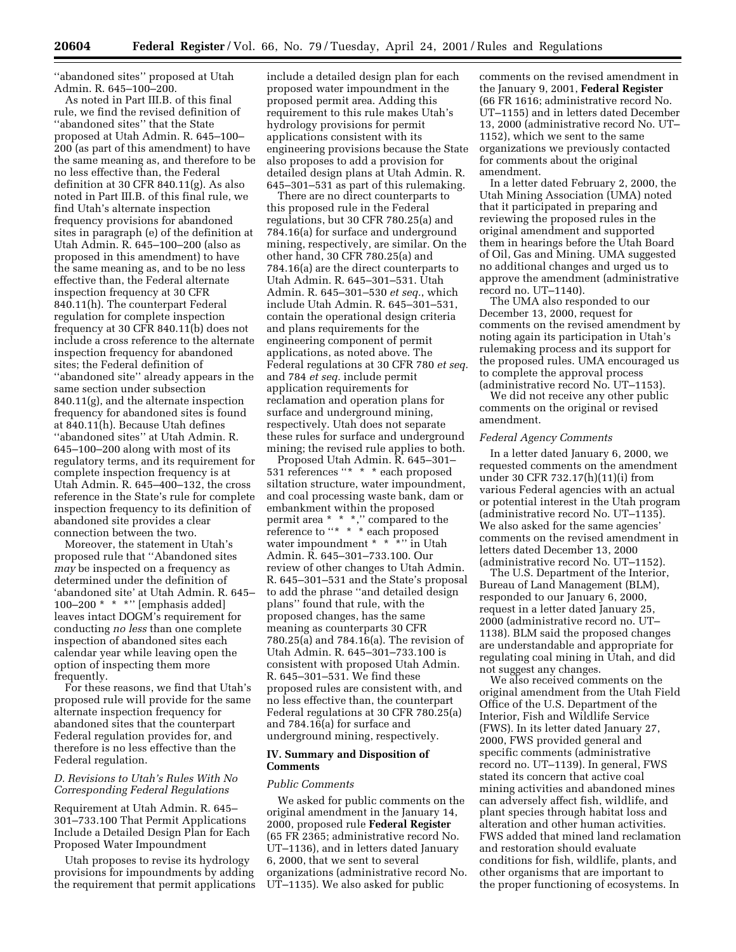''abandoned sites'' proposed at Utah Admin. R. 645–100–200.

As noted in Part III.B. of this final rule, we find the revised definition of ''abandoned sites'' that the State proposed at Utah Admin. R. 645–100– 200 (as part of this amendment) to have the same meaning as, and therefore to be no less effective than, the Federal definition at 30 CFR 840.11(g). As also noted in Part III.B. of this final rule, we find Utah's alternate inspection frequency provisions for abandoned sites in paragraph (e) of the definition at Utah Admin. R. 645–100–200 (also as proposed in this amendment) to have the same meaning as, and to be no less effective than, the Federal alternate inspection frequency at 30 CFR 840.11(h). The counterpart Federal regulation for complete inspection frequency at 30 CFR 840.11(b) does not include a cross reference to the alternate inspection frequency for abandoned sites; the Federal definition of ''abandoned site'' already appears in the same section under subsection 840.11(g), and the alternate inspection frequency for abandoned sites is found at 840.11(h). Because Utah defines ''abandoned sites'' at Utah Admin. R. 645–100–200 along with most of its regulatory terms, and its requirement for complete inspection frequency is at Utah Admin. R. 645–400–132, the cross reference in the State's rule for complete inspection frequency to its definition of abandoned site provides a clear connection between the two.

Moreover, the statement in Utah's proposed rule that ''Abandoned sites *may* be inspected on a frequency as determined under the definition of 'abandoned site' at Utah Admin. R. 645– 100–200 \* \* \*'' [emphasis added] leaves intact DOGM's requirement for conducting *no less* than one complete inspection of abandoned sites each calendar year while leaving open the option of inspecting them more frequently.

For these reasons, we find that Utah's proposed rule will provide for the same alternate inspection frequency for abandoned sites that the counterpart Federal regulation provides for, and therefore is no less effective than the Federal regulation.

## *D. Revisions to Utah's Rules With No Corresponding Federal Regulations*

Requirement at Utah Admin. R. 645– 301–733.100 That Permit Applications Include a Detailed Design Plan for Each Proposed Water Impoundment

Utah proposes to revise its hydrology provisions for impoundments by adding the requirement that permit applications

include a detailed design plan for each proposed water impoundment in the proposed permit area. Adding this requirement to this rule makes Utah's hydrology provisions for permit applications consistent with its engineering provisions because the State also proposes to add a provision for detailed design plans at Utah Admin. R. 645–301–531 as part of this rulemaking.

There are no direct counterparts to this proposed rule in the Federal regulations, but 30 CFR 780.25(a) and 784.16(a) for surface and underground mining, respectively, are similar. On the other hand, 30 CFR 780.25(a) and 784.16(a) are the direct counterparts to Utah Admin. R. 645–301–531. Utah Admin. R. 645–301–530 *et seq.*, which include Utah Admin. R. 645–301–531, contain the operational design criteria and plans requirements for the engineering component of permit applications, as noted above. The Federal regulations at 30 CFR 780 *et seq.* and 784 *et seq.* include permit application requirements for reclamation and operation plans for surface and underground mining, respectively. Utah does not separate these rules for surface and underground mining; the revised rule applies to both.

Proposed Utah Admin. R. 645–301– 531 references ''\* \* \* each proposed siltation structure, water impoundment, and coal processing waste bank, dam or embankment within the proposed permit area \* \* \*,'' compared to the reference to "\* \* \* each proposed water impoundment \* \* \* \* in Utah Admin. R. 645–301–733.100. Our review of other changes to Utah Admin. R. 645–301–531 and the State's proposal to add the phrase ''and detailed design plans'' found that rule, with the proposed changes, has the same meaning as counterparts 30 CFR 780.25(a) and 784.16(a). The revision of Utah Admin. R. 645–301–733.100 is consistent with proposed Utah Admin. R. 645–301–531. We find these proposed rules are consistent with, and no less effective than, the counterpart Federal regulations at 30 CFR 780.25(a) and 784.16(a) for surface and underground mining, respectively.

### **IV. Summary and Disposition of Comments**

### *Public Comments*

We asked for public comments on the original amendment in the January 14, 2000, proposed rule **Federal Register** (65 FR 2365; administrative record No. UT–1136), and in letters dated January 6, 2000, that we sent to several organizations (administrative record No. UT–1135). We also asked for public

comments on the revised amendment in the January 9, 2001, **Federal Register** (66 FR 1616; administrative record No. UT–1155) and in letters dated December 13, 2000 (administrative record No. UT– 1152), which we sent to the same organizations we previously contacted for comments about the original amendment.

In a letter dated February 2, 2000, the Utah Mining Association (UMA) noted that it participated in preparing and reviewing the proposed rules in the original amendment and supported them in hearings before the Utah Board of Oil, Gas and Mining. UMA suggested no additional changes and urged us to approve the amendment (administrative record no. UT–1140).

The UMA also responded to our December 13, 2000, request for comments on the revised amendment by noting again its participation in Utah's rulemaking process and its support for the proposed rules. UMA encouraged us to complete the approval process (administrative record No. UT–1153).

We did not receive any other public comments on the original or revised amendment.

## *Federal Agency Comments*

In a letter dated January 6, 2000, we requested comments on the amendment under 30 CFR 732.17(h)(11)(i) from various Federal agencies with an actual or potential interest in the Utah program (administrative record No. UT–1135). We also asked for the same agencies' comments on the revised amendment in letters dated December 13, 2000 (administrative record No. UT–1152).

The U.S. Department of the Interior, Bureau of Land Management (BLM), responded to our January 6, 2000, request in a letter dated January 25, 2000 (administrative record no. UT– 1138). BLM said the proposed changes are understandable and appropriate for regulating coal mining in Utah, and did not suggest any changes.

We also received comments on the original amendment from the Utah Field Office of the U.S. Department of the Interior, Fish and Wildlife Service (FWS). In its letter dated January 27, 2000, FWS provided general and specific comments (administrative record no. UT–1139). In general, FWS stated its concern that active coal mining activities and abandoned mines can adversely affect fish, wildlife, and plant species through habitat loss and alteration and other human activities. FWS added that mined land reclamation and restoration should evaluate conditions for fish, wildlife, plants, and other organisms that are important to the proper functioning of ecosystems. In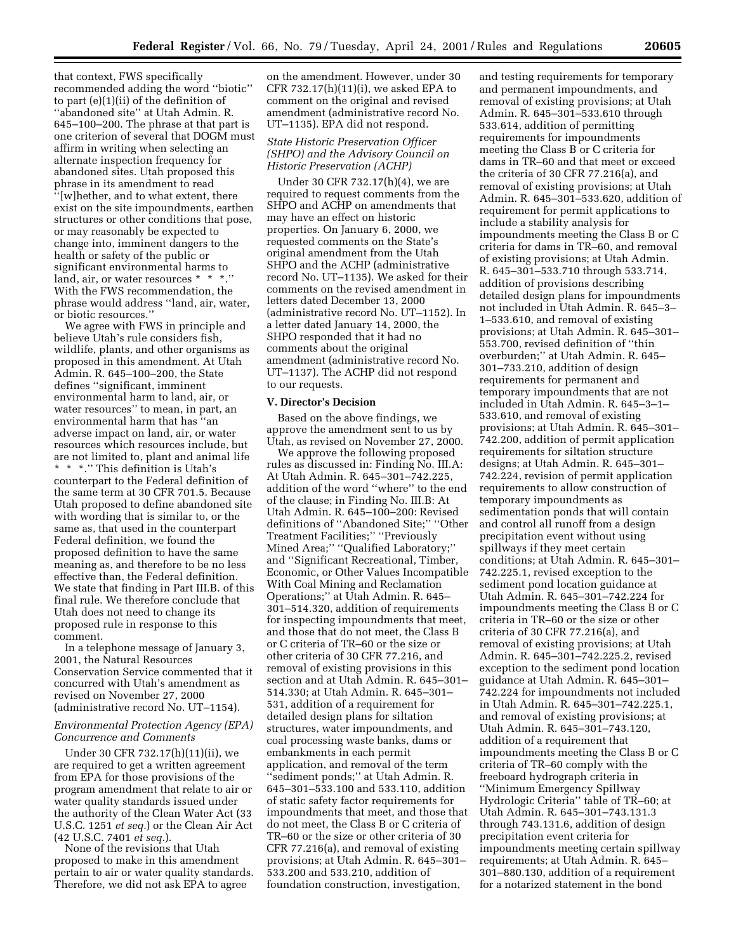that context, FWS specifically recommended adding the word ''biotic'' to part (e)(1)(ii) of the definition of ''abandoned site'' at Utah Admin. R. 645–100–200. The phrase at that part is one criterion of several that DOGM must affirm in writing when selecting an alternate inspection frequency for abandoned sites. Utah proposed this phrase in its amendment to read ''[w]hether, and to what extent, there exist on the site impoundments, earthen structures or other conditions that pose, or may reasonably be expected to change into, imminent dangers to the health or safety of the public or significant environmental harms to land, air, or water resources \* \* \*.'' With the FWS recommendation, the phrase would address ''land, air, water, or biotic resources.''

We agree with FWS in principle and believe Utah's rule considers fish, wildlife, plants, and other organisms as proposed in this amendment. At Utah Admin. R. 645–100–200, the State defines ''significant, imminent environmental harm to land, air, or water resources'' to mean, in part, an environmental harm that has ''an adverse impact on land, air, or water resources which resources include, but are not limited to, plant and animal life \* \* \*.'' This definition is Utah's counterpart to the Federal definition of the same term at 30 CFR 701.5. Because Utah proposed to define abandoned site with wording that is similar to, or the same as, that used in the counterpart Federal definition, we found the proposed definition to have the same meaning as, and therefore to be no less effective than, the Federal definition. We state that finding in Part III.B. of this final rule. We therefore conclude that Utah does not need to change its proposed rule in response to this comment.

In a telephone message of January 3, 2001, the Natural Resources Conservation Service commented that it concurred with Utah's amendment as revised on November 27, 2000 (administrative record No. UT–1154).

## *Environmental Protection Agency (EPA) Concurrence and Comments*

Under 30 CFR 732.17(h)(11)(ii), we are required to get a written agreement from EPA for those provisions of the program amendment that relate to air or water quality standards issued under the authority of the Clean Water Act (33 U.S.C. 1251 *et seq.*) or the Clean Air Act (42 U.S.C. 7401 *et seq.*).

None of the revisions that Utah proposed to make in this amendment pertain to air or water quality standards. Therefore, we did not ask EPA to agree

on the amendment. However, under 30 CFR 732.17(h)(11)(i), we asked EPA to comment on the original and revised amendment (administrative record No. UT–1135). EPA did not respond.

### *State Historic Preservation Officer (SHPO) and the Advisory Council on Historic Preservation (ACHP)*

Under 30 CFR 732.17(h)(4), we are required to request comments from the SHPO and ACHP on amendments that may have an effect on historic properties. On January 6, 2000, we requested comments on the State's original amendment from the Utah SHPO and the ACHP (administrative record No. UT–1135). We asked for their comments on the revised amendment in letters dated December 13, 2000 (administrative record No. UT–1152). In a letter dated January 14, 2000, the SHPO responded that it had no comments about the original amendment (administrative record No. UT–1137). The ACHP did not respond to our requests.

#### **V. Director's Decision**

Based on the above findings, we approve the amendment sent to us by Utah, as revised on November 27, 2000.

We approve the following proposed rules as discussed in: Finding No. III.A: At Utah Admin. R. 645–301–742.225, addition of the word ''where'' to the end of the clause; in Finding No. III.B: At Utah Admin. R. 645–100–200: Revised definitions of ''Abandoned Site;'' ''Other Treatment Facilities;'' ''Previously Mined Area;'' ''Qualified Laboratory;'' and ''Significant Recreational, Timber, Economic, or Other Values Incompatible With Coal Mining and Reclamation Operations;'' at Utah Admin. R. 645– 301–514.320, addition of requirements for inspecting impoundments that meet, and those that do not meet, the Class B or C criteria of TR–60 or the size or other criteria of 30 CFR 77.216, and removal of existing provisions in this section and at Utah Admin. R. 645–301– 514.330; at Utah Admin. R. 645–301– 531, addition of a requirement for detailed design plans for siltation structures, water impoundments, and coal processing waste banks, dams or embankments in each permit application, and removal of the term ''sediment ponds;'' at Utah Admin. R. 645–301–533.100 and 533.110, addition of static safety factor requirements for impoundments that meet, and those that do not meet, the Class B or C criteria of TR–60 or the size or other criteria of 30 CFR 77.216(a), and removal of existing provisions; at Utah Admin. R. 645–301– 533.200 and 533.210, addition of foundation construction, investigation,

and testing requirements for temporary and permanent impoundments, and removal of existing provisions; at Utah Admin. R. 645–301–533.610 through 533.614, addition of permitting requirements for impoundments meeting the Class B or C criteria for dams in TR–60 and that meet or exceed the criteria of 30 CFR 77.216(a), and removal of existing provisions; at Utah Admin. R. 645–301–533.620, addition of requirement for permit applications to include a stability analysis for impoundments meeting the Class B or C criteria for dams in TR–60, and removal of existing provisions; at Utah Admin. R. 645–301–533.710 through 533.714, addition of provisions describing detailed design plans for impoundments not included in Utah Admin. R. 645–3– 1–533.610, and removal of existing provisions; at Utah Admin. R. 645–301– 553.700, revised definition of ''thin overburden;'' at Utah Admin. R. 645– 301–733.210, addition of design requirements for permanent and temporary impoundments that are not included in Utah Admin. R. 645–3–1– 533.610, and removal of existing provisions; at Utah Admin. R. 645–301– 742.200, addition of permit application requirements for siltation structure designs; at Utah Admin. R. 645–301– 742.224, revision of permit application requirements to allow construction of temporary impoundments as sedimentation ponds that will contain and control all runoff from a design precipitation event without using spillways if they meet certain conditions; at Utah Admin. R. 645–301– 742.225.1, revised exception to the sediment pond location guidance at Utah Admin. R. 645–301–742.224 for impoundments meeting the Class B or C criteria in TR–60 or the size or other criteria of 30 CFR 77.216(a), and removal of existing provisions; at Utah Admin. R. 645–301–742.225.2, revised exception to the sediment pond location guidance at Utah Admin. R. 645–301– 742.224 for impoundments not included in Utah Admin. R. 645–301–742.225.1, and removal of existing provisions; at Utah Admin. R. 645–301–743.120, addition of a requirement that impoundments meeting the Class B or C criteria of TR–60 comply with the freeboard hydrograph criteria in ''Minimum Emergency Spillway Hydrologic Criteria'' table of TR–60; at Utah Admin. R. 645–301–743.131.3 through 743.131.6, addition of design precipitation event criteria for impoundments meeting certain spillway requirements; at Utah Admin. R. 645– 301–880.130, addition of a requirement for a notarized statement in the bond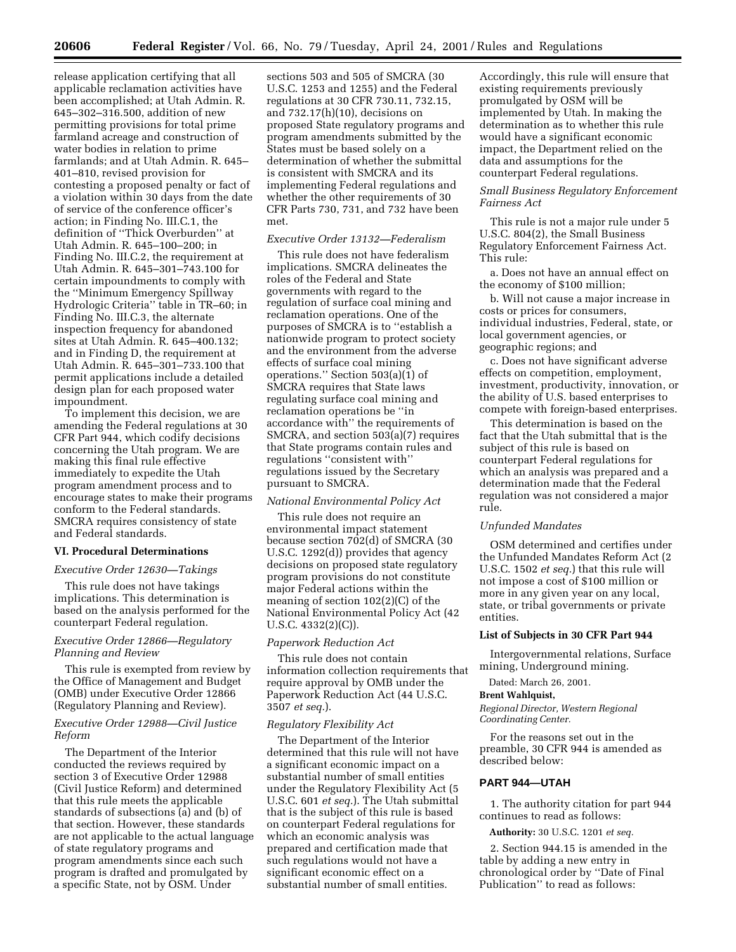release application certifying that all applicable reclamation activities have been accomplished; at Utah Admin. R. 645–302–316.500, addition of new permitting provisions for total prime farmland acreage and construction of water bodies in relation to prime farmlands; and at Utah Admin. R. 645– 401–810, revised provision for contesting a proposed penalty or fact of a violation within 30 days from the date of service of the conference officer's action; in Finding No. III.C.1, the definition of ''Thick Overburden'' at Utah Admin. R. 645–100–200; in Finding No. III.C.2, the requirement at Utah Admin. R. 645–301–743.100 for certain impoundments to comply with the ''Minimum Emergency Spillway Hydrologic Criteria'' table in TR–60; in Finding No. III.C.3, the alternate inspection frequency for abandoned sites at Utah Admin. R. 645–400.132; and in Finding D, the requirement at Utah Admin. R. 645–301–733.100 that permit applications include a detailed design plan for each proposed water impoundment.

To implement this decision, we are amending the Federal regulations at 30 CFR Part 944, which codify decisions concerning the Utah program. We are making this final rule effective immediately to expedite the Utah program amendment process and to encourage states to make their programs conform to the Federal standards. SMCRA requires consistency of state and Federal standards.

### **VI. Procedural Determinations**

#### *Executive Order 12630—Takings*

This rule does not have takings implications. This determination is based on the analysis performed for the counterpart Federal regulation.

# *Executive Order 12866—Regulatory Planning and Review*

This rule is exempted from review by the Office of Management and Budget (OMB) under Executive Order 12866 (Regulatory Planning and Review).

### *Executive Order 12988—Civil Justice Reform*

The Department of the Interior conducted the reviews required by section 3 of Executive Order 12988 (Civil Justice Reform) and determined that this rule meets the applicable standards of subsections (a) and (b) of that section. However, these standards are not applicable to the actual language of state regulatory programs and program amendments since each such program is drafted and promulgated by a specific State, not by OSM. Under

sections 503 and 505 of SMCRA (30 U.S.C. 1253 and 1255) and the Federal regulations at 30 CFR 730.11, 732.15, and 732.17(h)(10), decisions on proposed State regulatory programs and program amendments submitted by the States must be based solely on a determination of whether the submittal is consistent with SMCRA and its implementing Federal regulations and whether the other requirements of 30 CFR Parts 730, 731, and 732 have been met.

### *Executive Order 13132—Federalism*

This rule does not have federalism implications. SMCRA delineates the roles of the Federal and State governments with regard to the regulation of surface coal mining and reclamation operations. One of the purposes of SMCRA is to ''establish a nationwide program to protect society and the environment from the adverse effects of surface coal mining operations.'' Section 503(a)(1) of SMCRA requires that State laws regulating surface coal mining and reclamation operations be ''in accordance with'' the requirements of SMCRA, and section 503(a)(7) requires that State programs contain rules and regulations ''consistent with'' regulations issued by the Secretary pursuant to SMCRA.

### *National Environmental Policy Act*

This rule does not require an environmental impact statement because section 702(d) of SMCRA (30 U.S.C. 1292(d)) provides that agency decisions on proposed state regulatory program provisions do not constitute major Federal actions within the meaning of section 102(2)(C) of the National Environmental Policy Act (42 U.S.C. 4332(2)(C)).

#### *Paperwork Reduction Act*

This rule does not contain information collection requirements that require approval by OMB under the Paperwork Reduction Act (44 U.S.C. 3507 *et seq.*).

### *Regulatory Flexibility Act*

The Department of the Interior determined that this rule will not have a significant economic impact on a substantial number of small entities under the Regulatory Flexibility Act (5 U.S.C. 601 *et seq.*). The Utah submittal that is the subject of this rule is based on counterpart Federal regulations for which an economic analysis was prepared and certification made that such regulations would not have a significant economic effect on a substantial number of small entities.

Accordingly, this rule will ensure that existing requirements previously promulgated by OSM will be implemented by Utah. In making the determination as to whether this rule would have a significant economic impact, the Department relied on the data and assumptions for the counterpart Federal regulations.

### *Small Business Regulatory Enforcement Fairness Act*

This rule is not a major rule under 5 U.S.C. 804(2), the Small Business Regulatory Enforcement Fairness Act. This rule:

a. Does not have an annual effect on the economy of \$100 million;

b. Will not cause a major increase in costs or prices for consumers, individual industries, Federal, state, or local government agencies, or geographic regions; and

c. Does not have significant adverse effects on competition, employment, investment, productivity, innovation, or the ability of U.S. based enterprises to compete with foreign-based enterprises.

This determination is based on the fact that the Utah submittal that is the subject of this rule is based on counterpart Federal regulations for which an analysis was prepared and a determination made that the Federal regulation was not considered a major rule.

### *Unfunded Mandates*

OSM determined and certifies under the Unfunded Mandates Reform Act (2 U.S.C. 1502 *et seq.*) that this rule will not impose a cost of \$100 million or more in any given year on any local, state, or tribal governments or private entities.

### **List of Subjects in 30 CFR Part 944**

Intergovernmental relations, Surface mining, Underground mining.

Dated: March 26, 2001.

### **Brent Wahlquist,**

*Regional Director, Western Regional Coordinating Center.*

For the reasons set out in the preamble, 30 CFR 944 is amended as described below:

#### **PART 944—UTAH**

1. The authority citation for part 944 continues to read as follows:

**Authority:** 30 U.S.C. 1201 *et seq.*

2. Section 944.15 is amended in the table by adding a new entry in chronological order by ''Date of Final Publication'' to read as follows: